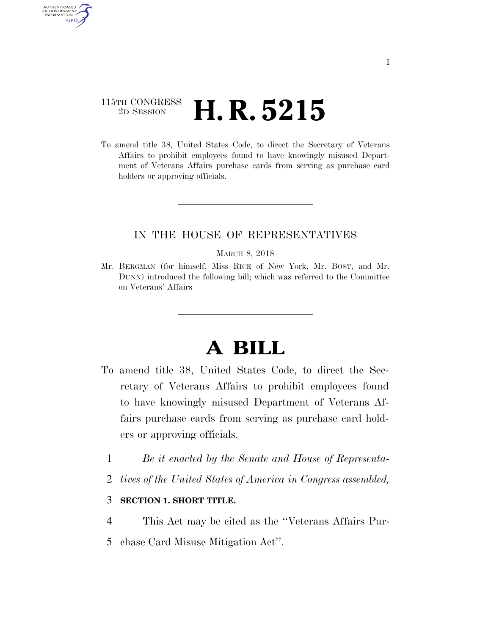## 115TH CONGRESS <sup>2D SESSION</sup> **H. R. 5215**

AUTHENTICATED U.S. GOVERNMENT **GPO** 

> To amend title 38, United States Code, to direct the Secretary of Veterans Affairs to prohibit employees found to have knowingly misused Department of Veterans Affairs purchase cards from serving as purchase card holders or approving officials.

### IN THE HOUSE OF REPRESENTATIVES

#### MARCH 8, 2018

Mr. BERGMAN (for himself, Miss RICE of New York, Mr. BOST, and Mr. DUNN) introduced the following bill; which was referred to the Committee on Veterans' Affairs

# **A BILL**

- To amend title 38, United States Code, to direct the Secretary of Veterans Affairs to prohibit employees found to have knowingly misused Department of Veterans Affairs purchase cards from serving as purchase card holders or approving officials.
	- 1 *Be it enacted by the Senate and House of Representa-*
	- 2 *tives of the United States of America in Congress assembled,*

### 3 **SECTION 1. SHORT TITLE.**

- 4 This Act may be cited as the ''Veterans Affairs Pur-
- 5 chase Card Misuse Mitigation Act''.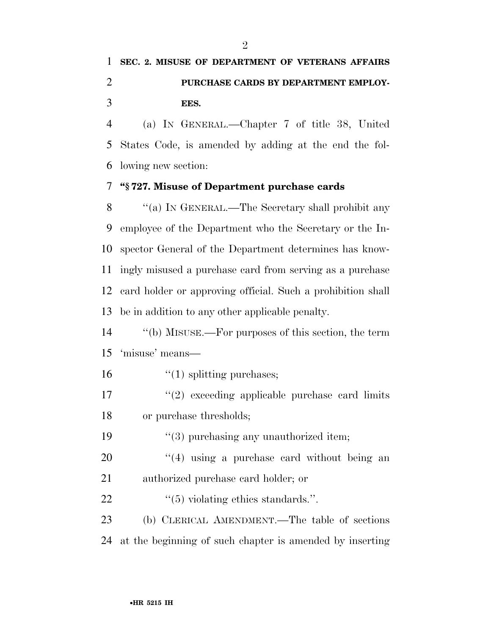$\mathfrak{D}$ 

**EES.** 

 (a) IN GENERAL.—Chapter 7 of title 38, United States Code, is amended by adding at the end the fol-lowing new section:

### **''§ 727. Misuse of Department purchase cards**

 ''(a) IN GENERAL.—The Secretary shall prohibit any employee of the Department who the Secretary or the In- spector General of the Department determines has know- ingly misused a purchase card from serving as a purchase card holder or approving official. Such a prohibition shall be in addition to any other applicable penalty.

 ''(b) MISUSE.—For purposes of this section, the term 'misuse' means—

16  $"(1)$  splitting purchases;

17 ''(2) exceeding applicable purchase card limits or purchase thresholds;

19  $\frac{1}{3}$  purchasing any unauthorized item;

 ''(4) using a purchase card without being an authorized purchase card holder; or

22  $\frac{1}{2}$   $\frac{1}{5}$  violating ethics standards.".

 (b) CLERICAL AMENDMENT.—The table of sections at the beginning of such chapter is amended by inserting